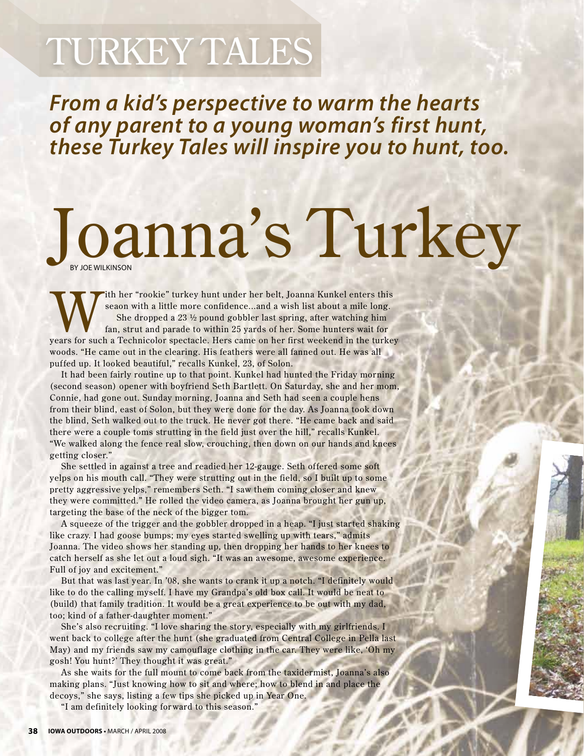## Turkey Tales

*From a kid's perspective to warm the hearts of any parent to a young woman's first hunt, these Turkey Tales will inspire you to hunt, too.*

## Joanna's Turkey

With her "rookie" turkey hunt under her belt, Joanna Kunkel enters this<br>seaon with a little more confidence...and a wish list about a mile long.<br>She dropped a 23 ½ pound gobbler last spring, after watching him<br>fan, strut a seaon with a little more confidence...and a wish list about a mile long. She dropped a 23 ½ pound gobbler last spring, after watching him fan, strut and parade to within 25 yards of her. Some hunters wait for years for such a Technicolor spectacle. Hers came on her first weekend in the turkey woods. "He came out in the clearing. His feathers were all fanned out. He was all puffed up. It looked beautiful," recalls Kunkel, 23, of Solon.

It had been fairly routine up to that point. Kunkel had hunted the Friday morning (second season) opener with boyfriend Seth Bartlett. On Saturday, she and her mom, Connie, had gone out. Sunday morning, Joanna and Seth had seen a couple hens from their blind, east of Solon, but they were done for the day. As Joanna took down the blind, Seth walked out to the truck. He never got there. "He came back and said there were a couple toms strutting in the field just over the hill," recalls Kunkel. "We walked along the fence real slow, crouching, then down on our hands and knees getting closer."

She settled in against a tree and readied her 12-gauge. Seth offered some soft yelps on his mouth call. "They were strutting out in the field, so I built up to some pretty aggressive yelps," remembers Seth. "I saw them coming closer and knew they were committed." He rolled the video camera, as Joanna brought her gun up, targeting the base of the neck of the bigger tom.

A squeeze of the trigger and the gobbler dropped in a heap. "I just started shaking like crazy. I had goose bumps; my eyes started swelling up with tears," admits Joanna. The video shows her standing up, then dropping her hands to her knees to catch herself as she let out a loud sigh. "It was an awesome, awesome experience. Full of joy and excitement."

But that was last year. In '08, she wants to crank it up a notch. "I definitely would like to do the calling myself. I have my Grandpa's old box call. It would be neat to (build) that family tradition. It would be a great experience to be out with my dad, too; kind of a father-daughter moment."

She's also recruiting. "I love sharing the story, especially with my girlfriends. I went back to college after the hunt (she graduated from Central College in Pella last May) and my friends saw my camouflage clothing in the car. They were like, 'Oh my gosh! You hunt?' They thought it was great."

As she waits for the full mount to come back from the taxidermist, Joanna's also making plans. "Just knowing how to sit and where; how to blend in and place the decoys," she says, listing a few tips she picked up in Year One.

"I am definitely looking forward to this season."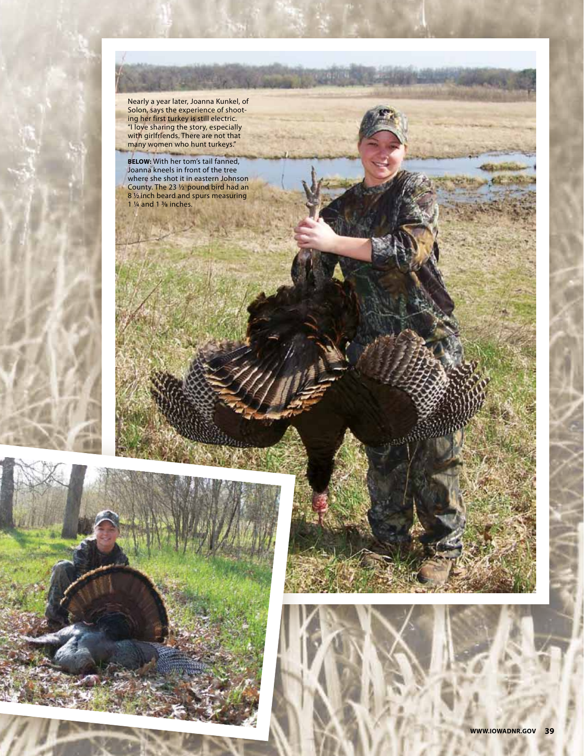



Nearly a year later, Joanna Kunkel, of Solon, says the experience of shooting her first turkey is still electric. "I love sharing the story, especially with girlfriends. There are not that many women who hunt turkeys." **BELOW:** With her tom's tail fanned, Joanna kneels in front of the tree where she shot it in eastern Johnson County. The 23  $1/2$  pound bird had an 8 1/2 inch beard and spurs measuring

**FEBRUARE ITAL** 

1  $\frac{1}{4}$  and 1  $\frac{3}{8}$  inches.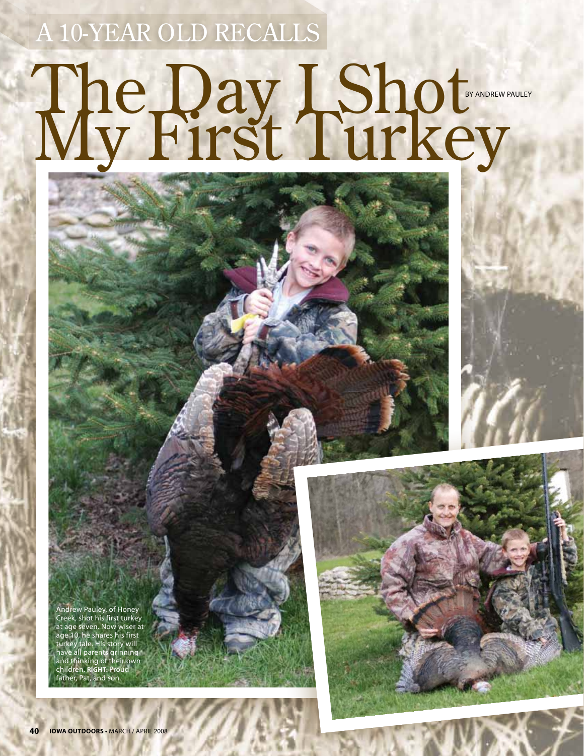A 10-year old recalls

## The Day LShot by andrew pauley

story and photos by joe will be joined to be a photos by joined and photos by joined and photos by joined and

Andrew Pauley, of Honey Creek, shot his first turkey at age seven. Now wiser at age 10, he shares his first turkey tale. His story will have all parents grinning and thinking of their own children. **RIGHT:** Proud father, Pat, and son.